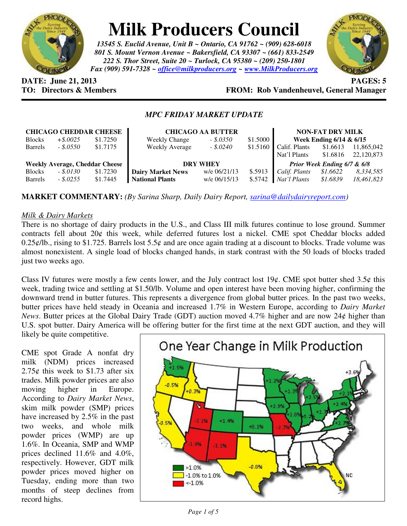

# **Milk Producers Council**

*13545 S. Euclid Avenue, Unit B ~ Ontario, CA 91762 ~ (909) 628-6018 801 S. Mount Vernon Avenue ~ Bakersfield, CA 93307 ~ (661) 833-2549 222 S. Thor Street, Suite 20 ~ Turlock, CA 95380 ~ (209) 250-1801 Fax (909) 591-7328 ~ office@milkproducers.org ~ www.MilkProducers.org*



**DATE: June 21, 2013 PAGES: 5** 

# **TO: Directors & Members FROM: Rob Vandenheuvel, General Manager**

## *MPC FRIDAY MARKET UPDATE*

| <b>CHICAGO CHEDDAR CHEESE</b>         |              |          | <b>CHICAGO AA BUTTER</b> |              |          | <b>NON-FAT DRY MILK</b>     |          |            |
|---------------------------------------|--------------|----------|--------------------------|--------------|----------|-----------------------------|----------|------------|
| <b>Blocks</b>                         | $+$ \$.0025  | \$1.7250 | <b>Weekly Change</b>     | $-.50350$    | \$1.5000 | Week Ending $6/14$ & $6/15$ |          |            |
| <b>Barrels</b>                        | $-.8.0550$   | \$1.7175 | <b>Weekly Average</b>    | $-.5.0240$   | \$1.5160 | Calif. Plants               | \$1.6613 | 11,865,042 |
|                                       |              |          |                          |              |          | Nat'l Plants                | \$1.6816 | 22,120,873 |
| <b>Weekly Average, Cheddar Cheese</b> |              |          | <b>DRY WHEY</b>          |              |          | Prior Week Ending 6/7 & 6/8 |          |            |
| <b>Blocks</b>                         | $-.$ \$.0130 | \$1.7230 | <b>Dairy Market News</b> | w/e 06/21/13 | \$.5913  | Calif. Plants               | \$1.6622 | 8,334,585  |
| <b>Barrels</b>                        | $-.8.0255$   | \$1.7445 | <b>National Plants</b>   | w/e 06/15/13 | \$.5742  | Nat'l Plants                | \$1.6839 | 18,461,823 |

**MARKET COMMENTARY:** *(By Sarina Sharp, Daily Dairy Report, sarina@dailydairyreport.com)* 

#### *Milk & Dairy Markets*

There is no shortage of dairy products in the U.S., and Class III milk futures continue to lose ground. Summer contracts fell about 20¢ this week, while deferred futures lost a nickel. CME spot Cheddar blocks added 0.25 $\varphi$ /lb., rising to \$1.725. Barrels lost 5.5 $\varphi$  and are once again trading at a discount to blocks. Trade volume was almost nonexistent. A single load of blocks changed hands, in stark contrast with the 50 loads of blocks traded just two weeks ago.

Class IV futures were mostly a few cents lower, and the July contract lost 19¢. CME spot butter shed 3.5¢ this week, trading twice and settling at \$1.50/lb. Volume and open interest have been moving higher, confirming the downward trend in butter futures. This represents a divergence from global butter prices. In the past two weeks, butter prices have held steady in Oceania and increased 1.7% in Western Europe, according to *Dairy Market News*. Butter prices at the Global Dairy Trade (GDT) auction moved 4.7% higher and are now 24¢ higher than U.S. spot butter. Dairy America will be offering butter for the first time at the next GDT auction, and they will

likely be quite competitive.

CME spot Grade A nonfat dry milk (NDM) prices increased 2.75 $\phi$  this week to \$1.73 after six trades. Milk powder prices are also moving higher in Europe. According to *Dairy Market News*, skim milk powder (SMP) prices have increased by 2.5% in the past two weeks, and whole milk powder prices (WMP) are up 1.6%. In Oceania, SMP and WMP prices declined 11.6% and 4.0%, respectively. However, GDT milk powder prices moved higher on Tuesday, ending more than two months of steep declines from record highs.

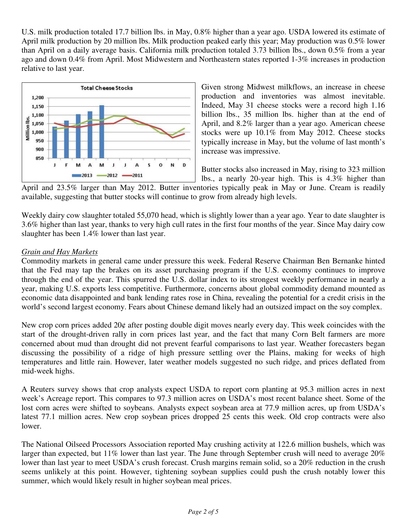U.S. milk production totaled 17.7 billion lbs. in May, 0.8% higher than a year ago. USDA lowered its estimate of April milk production by 20 million lbs. Milk production peaked early this year; May production was 0.5% lower than April on a daily average basis. California milk production totaled 3.73 billion lbs., down 0.5% from a year ago and down 0.4% from April. Most Midwestern and Northeastern states reported 1-3% increases in production relative to last year.



Given strong Midwest milkflows, an increase in cheese production and inventories was almost inevitable. Indeed, May 31 cheese stocks were a record high 1.16 billion lbs., 35 million lbs. higher than at the end of April, and 8.2% larger than a year ago. American cheese stocks were up 10.1% from May 2012. Cheese stocks typically increase in May, but the volume of last month's increase was impressive.

Butter stocks also increased in May, rising to 323 million lbs., a nearly 20-year high. This is 4.3% higher than

April and 23.5% larger than May 2012. Butter inventories typically peak in May or June. Cream is readily available, suggesting that butter stocks will continue to grow from already high levels.

Weekly dairy cow slaughter totaled 55,070 head, which is slightly lower than a year ago. Year to date slaughter is 3.6% higher than last year, thanks to very high cull rates in the first four months of the year. Since May dairy cow slaughter has been 1.4% lower than last year.

## *Grain and Hay Markets*

Commodity markets in general came under pressure this week. Federal Reserve Chairman Ben Bernanke hinted that the Fed may tap the brakes on its asset purchasing program if the U.S. economy continues to improve through the end of the year. This spurred the U.S. dollar index to its strongest weekly performance in nearly a year, making U.S. exports less competitive. Furthermore, concerns about global commodity demand mounted as economic data disappointed and bank lending rates rose in China, revealing the potential for a credit crisis in the world's second largest economy. Fears about Chinese demand likely had an outsized impact on the soy complex.

New crop corn prices added 20¢ after posting double digit moves nearly every day. This week coincides with the start of the drought-driven rally in corn prices last year, and the fact that many Corn Belt farmers are more concerned about mud than drought did not prevent fearful comparisons to last year. Weather forecasters began discussing the possibility of a ridge of high pressure settling over the Plains, making for weeks of high temperatures and little rain. However, later weather models suggested no such ridge, and prices deflated from mid-week highs.

A Reuters survey shows that crop analysts expect USDA to report corn planting at 95.3 million acres in next week's Acreage report. This compares to 97.3 million acres on USDA's most recent balance sheet. Some of the lost corn acres were shifted to soybeans. Analysts expect soybean area at 77.9 million acres, up from USDA's latest 77.1 million acres. New crop soybean prices dropped 25 cents this week. Old crop contracts were also lower.

The National Oilseed Processors Association reported May crushing activity at 122.6 million bushels, which was larger than expected, but 11% lower than last year. The June through September crush will need to average 20% lower than last year to meet USDA's crush forecast. Crush margins remain solid, so a 20% reduction in the crush seems unlikely at this point. However, tightening soybean supplies could push the crush notably lower this summer, which would likely result in higher soybean meal prices.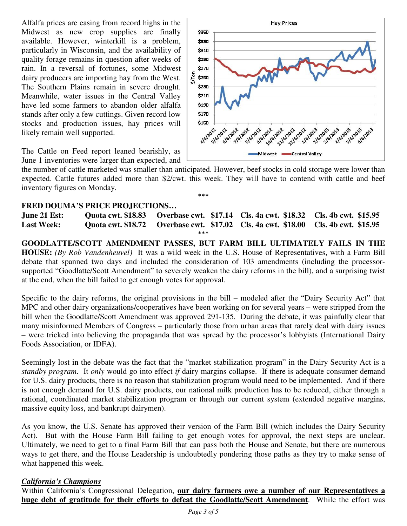Alfalfa prices are easing from record highs in the Midwest as new crop supplies are finally available. However, winterkill is a problem, particularly in Wisconsin, and the availability of quality forage remains in question after weeks of rain. In a reversal of fortunes, some Midwest dairy producers are importing hay from the West. The Southern Plains remain in severe drought. Meanwhile, water issues in the Central Valley have led some farmers to abandon older alfalfa stands after only a few cuttings. Given record low stocks and production issues, hay prices will likely remain well supported.

The Cattle on Feed report leaned bearishly, as June 1 inventories were larger than expected, and



the number of cattle marketed was smaller than anticipated. However, beef stocks in cold storage were lower than expected. Cattle futures added more than \$2/cwt. this week. They will have to contend with cattle and beef inventory figures on Monday.

\*\*\*

#### **FRED DOUMA'S PRICE PROJECTIONS…**

**June 21 Est: Quota cwt. \$18.83 Overbase cwt. \$17.14 Cls. 4a cwt. \$18.32 Cls. 4b cwt. \$15.95 Last Week: Quota cwt. \$18.72 Overbase cwt. \$17.02 Cls. 4a cwt. \$18.00 Cls. 4b cwt. \$15.95**  \*\*\*

**GOODLATTE/SCOTT AMENDMENT PASSES, BUT FARM BILL ULTIMATELY FAILS IN THE HOUSE:** *(By Rob Vandenheuvel)* It was a wild week in the U.S. House of Representatives, with a Farm Bill debate that spanned two days and included the consideration of 103 amendments (including the processorsupported "Goodlatte/Scott Amendment" to severely weaken the dairy reforms in the bill), and a surprising twist at the end, when the bill failed to get enough votes for approval.

Specific to the dairy reforms, the original provisions in the bill – modeled after the "Dairy Security Act" that MPC and other dairy organizations/cooperatives have been working on for several years – were stripped from the bill when the Goodlatte/Scott Amendment was approved 291-135. During the debate, it was painfully clear that many misinformed Members of Congress – particularly those from urban areas that rarely deal with dairy issues – were tricked into believing the propaganda that was spread by the processor's lobbyists (International Dairy Foods Association, or IDFA).

Seemingly lost in the debate was the fact that the "market stabilization program" in the Dairy Security Act is a *standby program*. It *only* would go into effect *if* dairy margins collapse. If there is adequate consumer demand for U.S. dairy products, there is no reason that stabilization program would need to be implemented. And if there is not enough demand for U.S. dairy products, our national milk production has to be reduced, either through a rational, coordinated market stabilization program or through our current system (extended negative margins, massive equity loss, and bankrupt dairymen).

As you know, the U.S. Senate has approved their version of the Farm Bill (which includes the Dairy Security Act). But with the House Farm Bill failing to get enough votes for approval, the next steps are unclear. Ultimately, we need to get to a final Farm Bill that can pass both the House and Senate, but there are numerous ways to get there, and the House Leadership is undoubtedly pondering those paths as they try to make sense of what happened this week.

#### *California's Champions*

Within California's Congressional Delegation, **our dairy farmers owe a number of our Representatives a huge debt of gratitude for their efforts to defeat the Goodlatte/Scott Amendment**. While the effort was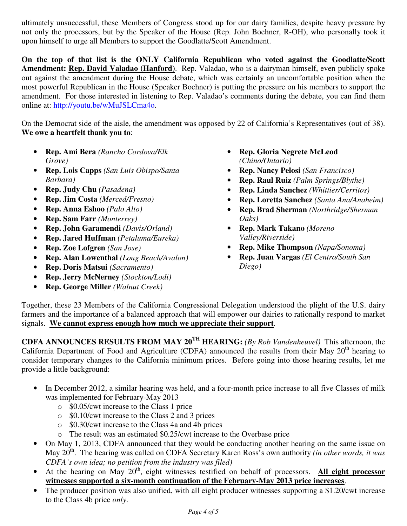ultimately unsuccessful, these Members of Congress stood up for our dairy families, despite heavy pressure by not only the processors, but by the Speaker of the House (Rep. John Boehner, R-OH), who personally took it upon himself to urge all Members to support the Goodlatte/Scott Amendment.

**On the top of that list is the ONLY California Republican who voted against the Goodlatte/Scott Amendment: Rep. David Valadao (Hanford)**. Rep. Valadao, who is a dairyman himself, even publicly spoke out against the amendment during the House debate, which was certainly an uncomfortable position when the most powerful Republican in the House (Speaker Boehner) is putting the pressure on his members to support the amendment. For those interested in listening to Rep. Valadao's comments during the debate, you can find them online at: http://youtu.be/wMuJSLCma4o.

On the Democrat side of the aisle, the amendment was opposed by 22 of California's Representatives (out of 38). **We owe a heartfelt thank you to**:

- **Rep. Ami Bera** *(Rancho Cordova/Elk Grove)*
- **Rep. Lois Capps** *(San Luis Obispo/Santa Barbara)*
- **Rep. Judy Chu** *(Pasadena)*
- **Rep. Jim Costa** *(Merced/Fresno)*
- **Rep. Anna Eshoo** *(Palo Alto)*
- **Rep. Sam Farr** *(Monterrey)*
- **Rep. John Garamendi** *(Davis/Orland)*
- **Rep. Jared Huffman** *(Petaluma/Eureka)*
- **Rep. Zoe Lofgren** *(San Jose)*
- **Rep. Alan Lowenthal** *(Long Beach/Avalon)*
- **Rep. Doris Matsui** *(Sacramento)*
- **Rep. Jerry McNerney** *(Stockton/Lodi)*
- **Rep. George Miller** *(Walnut Creek)*
- **Rep. Gloria Negrete McLeod** *(Chino/Ontario)*
- **Rep. Nancy Pelosi** *(San Francisco)*
- **Rep. Raul Ruiz** *(Palm Springs/Blythe)*
- **Rep. Linda Sanchez** *(Whittier/Cerritos)*
- **Rep. Loretta Sanchez** *(Santa Ana/Anaheim)*
- **Rep. Brad Sherman** *(Northridge/Sherman Oaks)*
- **Rep. Mark Takano** *(Moreno Valley/Riverside)*
- **Rep. Mike Thompson** *(Napa/Sonoma)*
- **Rep. Juan Vargas** *(El Centro/South San Diego)*

Together, these 23 Members of the California Congressional Delegation understood the plight of the U.S. dairy farmers and the importance of a balanced approach that will empower our dairies to rationally respond to market signals. **We cannot express enough how much we appreciate their support**.

**CDFA ANNOUNCES RESULTS FROM MAY 20TH HEARING:** *(By Rob Vandenheuvel)* This afternoon, the California Department of Food and Agriculture (CDFA) announced the results from their May  $20<sup>th</sup>$  hearing to consider temporary changes to the California minimum prices. Before going into those hearing results, let me provide a little background:

- In December 2012, a similar hearing was held, and a four-month price increase to all five Classes of milk was implemented for February-May 2013
	- o \$0.05/cwt increase to the Class 1 price
	- o \$0.10/cwt increase to the Class 2 and 3 prices
	- o \$0.30/cwt increase to the Class 4a and 4b prices
	- o The result was an estimated \$0.25/cwt increase to the Overbase price
- On May 1, 2013, CDFA announced that they would be conducting another hearing on the same issue on May 20<sup>th</sup>. The hearing was called on CDFA Secretary Karen Ross's own authority *(in other words, it was CDFA's own idea; no petition from the industry was filed)*
- At the hearing on May 20<sup>th</sup>, eight witnesses testified on behalf of processors. All eight processor **witnesses supported a six-month continuation of the February-May 2013 price increases**.
- The producer position was also unified, with all eight producer witnesses supporting a \$1.20/cwt increase to the Class 4b price *only*.